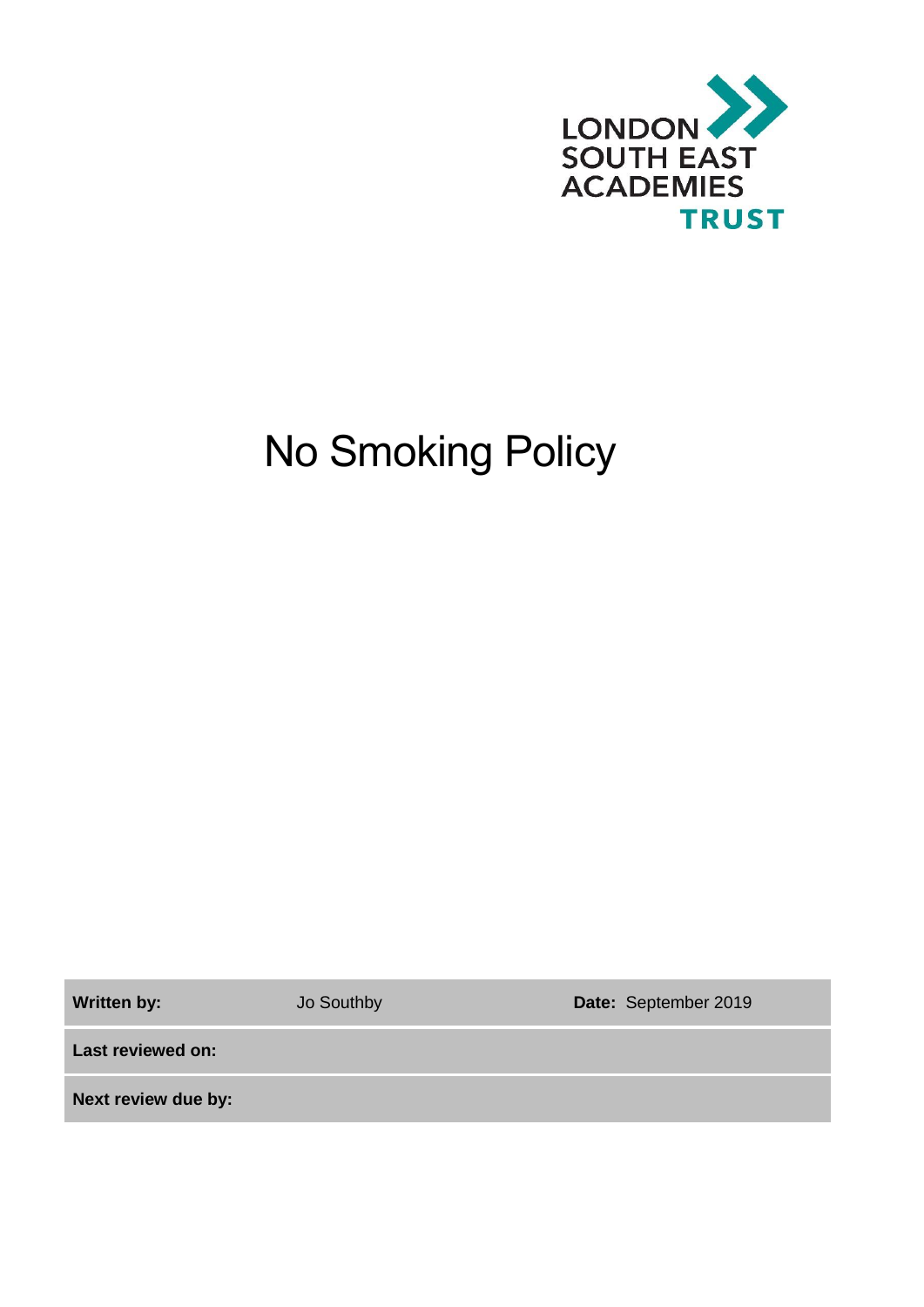

# No Smoking Policy

**Written by:** Jo Southby **Date:** September 2019

**Last reviewed on:**

**Next review due by:**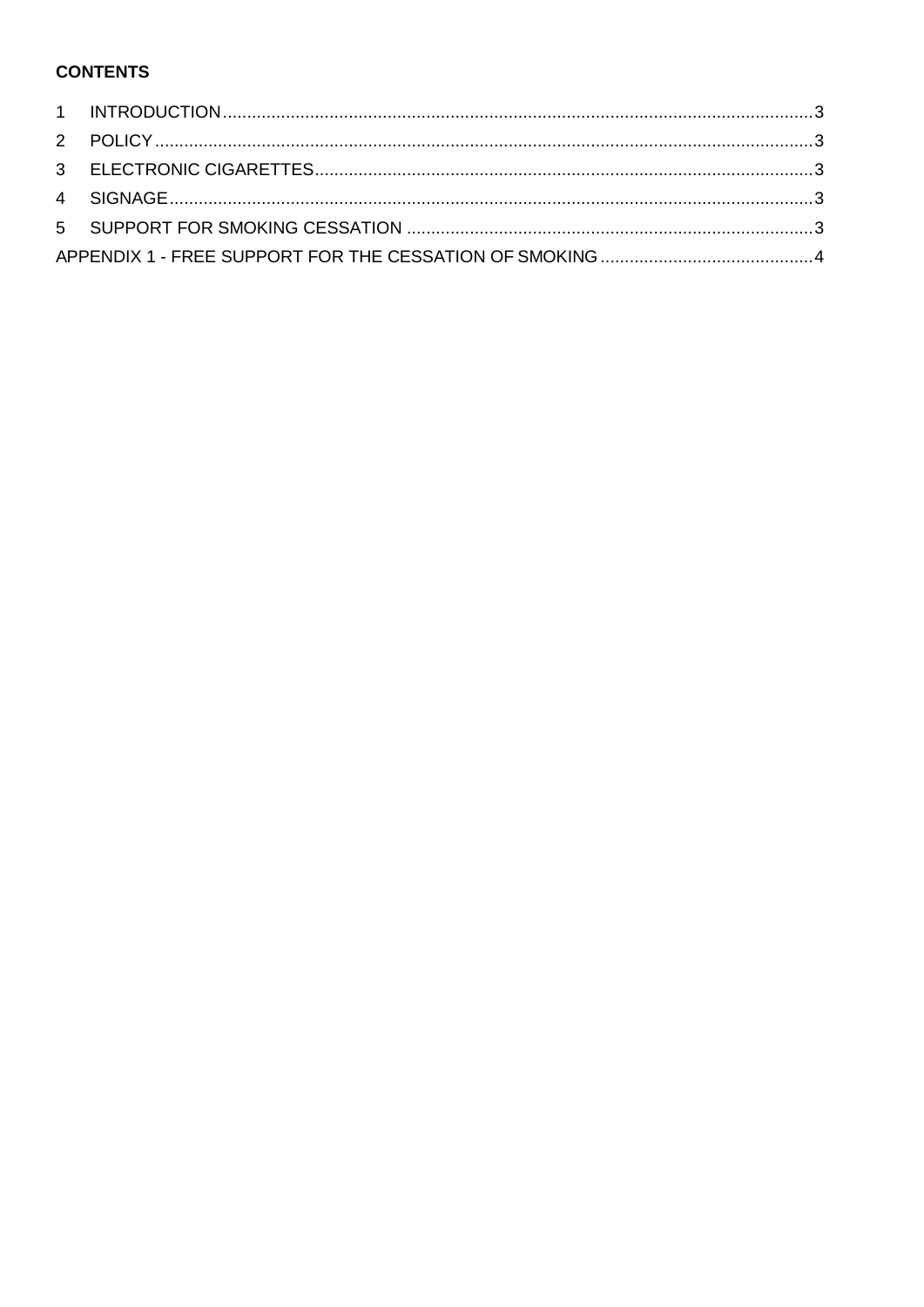### **CONTENTS**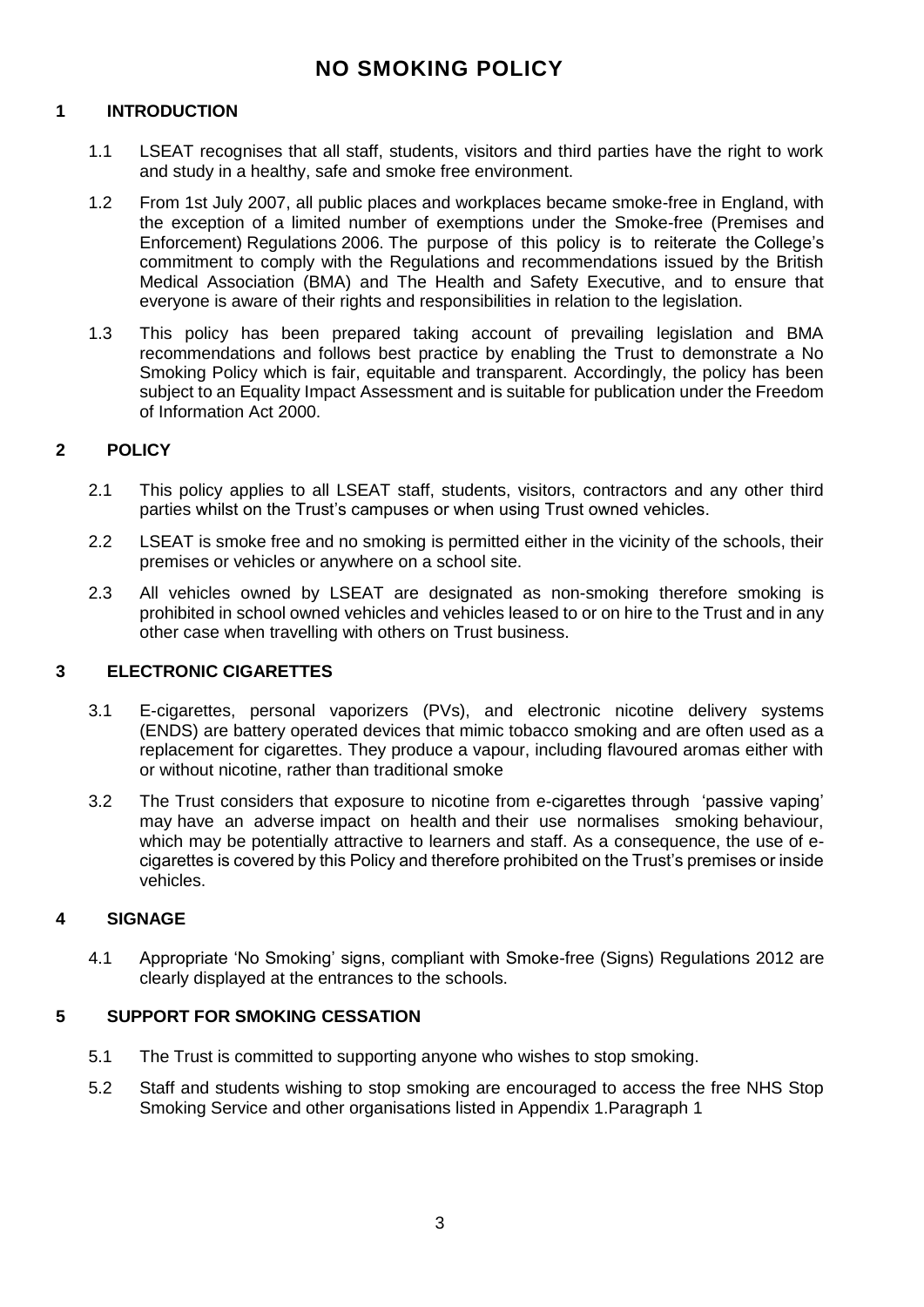## **NO SMOKING POLICY**

#### <span id="page-2-0"></span>**1 INTRODUCTION**

- 1.1 LSEAT recognises that all staff, students, visitors and third parties have the right to work and study in a healthy, safe and smoke free environment.
- 1.2 From 1st July 2007, all public places and workplaces became smoke-free in England, with the exception of a limited number of exemptions under the Smoke-free (Premises and Enforcement) Regulations 2006. The purpose of this policy is to reiterate the College's commitment to comply with the Regulations and recommendations issued by the British Medical Association (BMA) and The Health and Safety Executive, and to ensure that everyone is aware of their rights and responsibilities in relation to the legislation.
- 1.3 This policy has been prepared taking account of prevailing legislation and BMA recommendations and follows best practice by enabling the Trust to demonstrate a No Smoking Policy which is fair, equitable and transparent. Accordingly, the policy has been subject to an Equality Impact Assessment and is suitable for publication under the Freedom of Information Act 2000.

#### <span id="page-2-1"></span>**2 POLICY**

- 2.1 This policy applies to all LSEAT staff, students, visitors, contractors and any other third parties whilst on the Trust's campuses or when using Trust owned vehicles.
- 2.2 LSEAT is smoke free and no smoking is permitted either in the vicinity of the schools, their premises or vehicles or anywhere on a school site.
- 2.3 All vehicles owned by LSEAT are designated as non-smoking therefore smoking is prohibited in school owned vehicles and vehicles leased to or on hire to the Trust and in any other case when travelling with others on Trust business.

#### <span id="page-2-2"></span>**3 ELECTRONIC CIGARETTES**

- 3.1 E-cigarettes, personal vaporizers (PVs), and electronic nicotine delivery systems (ENDS) are battery operated devices that mimic tobacco smoking and are often used as a replacement for cigarettes. They produce a vapour, including flavoured aromas either with or without nicotine, rather than traditional smoke
- 3.2 The Trust considers that exposure to nicotine from e-cigarettes through 'passive vaping' may have an adverse impact on health and their use normalises smoking behaviour, which may be potentially attractive to learners and staff. As a consequence, the use of ecigarettes is covered by this Policy and therefore prohibited on the Trust's premises or inside vehicles.

#### <span id="page-2-3"></span>**4 SIGNAGE**

4.1 Appropriate 'No Smoking' signs, compliant with Smoke-free (Signs) Regulations 2012 are clearly displayed at the entrances to the schools.

#### <span id="page-2-4"></span>**5 SUPPORT FOR SMOKING CESSATION**

- 5.1 The Trust is committed to supporting anyone who wishes to stop smoking.
- 5.2 Staff and students wishing to stop smoking are encouraged to access the free NHS Stop Smoking Service and other organisations listed in Appendix 1.Paragraph 1